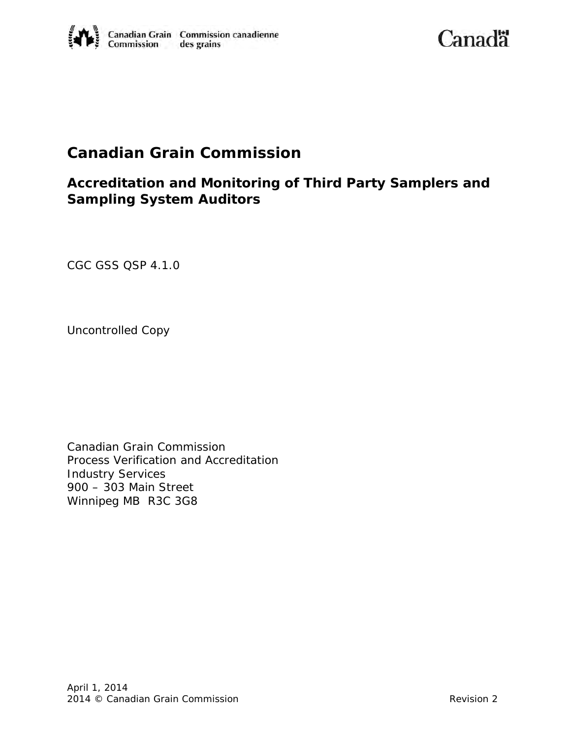Canadä

# **Canadian Grain Commission**

# **Accreditation and Monitoring of Third Party Samplers and Sampling System Auditors**

*CGC GSS QSP 4.1.0* 

Uncontrolled Copy

Canadian Grain Commission Process Verification and Accreditation Industry Services 900 – 303 Main Street Winnipeg MB R3C 3G8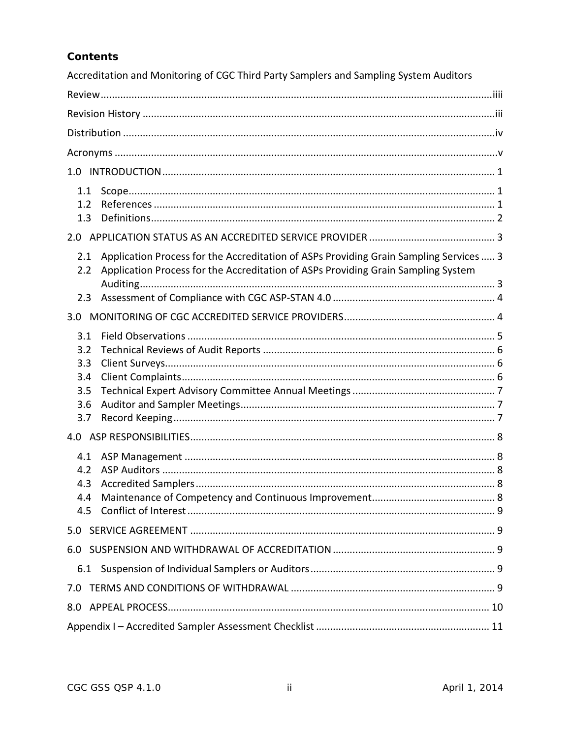# **Contents**

| Accreditation and Monitoring of CGC Third Party Samplers and Sampling System Auditors                                                                                                            |  |  |  |  |
|--------------------------------------------------------------------------------------------------------------------------------------------------------------------------------------------------|--|--|--|--|
|                                                                                                                                                                                                  |  |  |  |  |
|                                                                                                                                                                                                  |  |  |  |  |
|                                                                                                                                                                                                  |  |  |  |  |
|                                                                                                                                                                                                  |  |  |  |  |
|                                                                                                                                                                                                  |  |  |  |  |
| 1.1<br>1.2<br>1.3                                                                                                                                                                                |  |  |  |  |
|                                                                                                                                                                                                  |  |  |  |  |
| Application Process for the Accreditation of ASPs Providing Grain Sampling Services  3<br>2.1<br>Application Process for the Accreditation of ASPs Providing Grain Sampling System<br>2.2<br>2.3 |  |  |  |  |
|                                                                                                                                                                                                  |  |  |  |  |
| 3.1<br>3.2<br>3.3<br>3.4<br>3.5<br>3.6<br>3.7                                                                                                                                                    |  |  |  |  |
|                                                                                                                                                                                                  |  |  |  |  |
| 4.1<br>4.2<br>4.4<br>4.5                                                                                                                                                                         |  |  |  |  |
| 5.0                                                                                                                                                                                              |  |  |  |  |
| 6.0                                                                                                                                                                                              |  |  |  |  |
| 6.1                                                                                                                                                                                              |  |  |  |  |
| 7.0                                                                                                                                                                                              |  |  |  |  |
|                                                                                                                                                                                                  |  |  |  |  |
|                                                                                                                                                                                                  |  |  |  |  |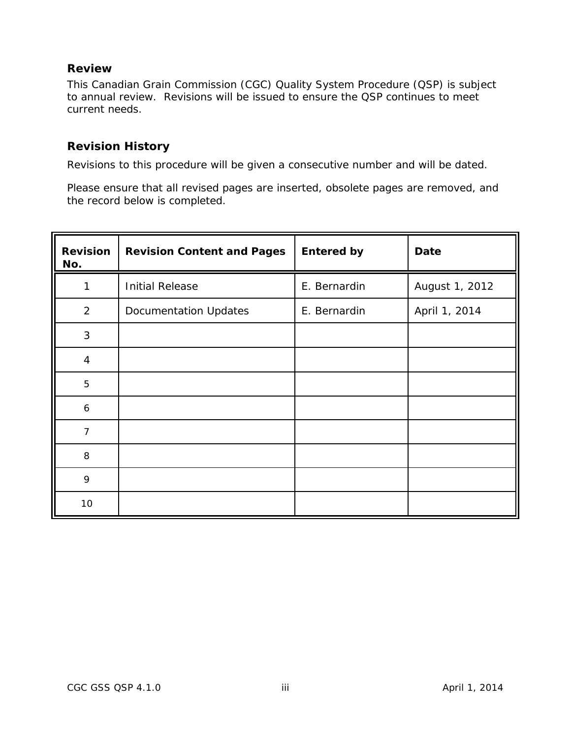# <span id="page-2-0"></span>**Review**

This Canadian Grain Commission (CGC) Quality System Procedure (QSP) is subject to annual review. Revisions will be issued to ensure the QSP continues to meet current needs.

## <span id="page-2-1"></span>**Revision History**

Revisions to this procedure will be given a consecutive number and will be dated.

Please ensure that all revised pages are inserted, obsolete pages are removed, and the record below is completed.

| <b>Revision</b><br>No. | <b>Revision Content and Pages</b> | <b>Entered by</b> | <b>Date</b>    |
|------------------------|-----------------------------------|-------------------|----------------|
| 1                      | <b>Initial Release</b>            | E. Bernardin      | August 1, 2012 |
| $\overline{2}$         | <b>Documentation Updates</b>      | E. Bernardin      | April 1, 2014  |
| 3                      |                                   |                   |                |
| $\overline{4}$         |                                   |                   |                |
| 5                      |                                   |                   |                |
| 6                      |                                   |                   |                |
| $\overline{7}$         |                                   |                   |                |
| 8                      |                                   |                   |                |
| 9                      |                                   |                   |                |
| 10                     |                                   |                   |                |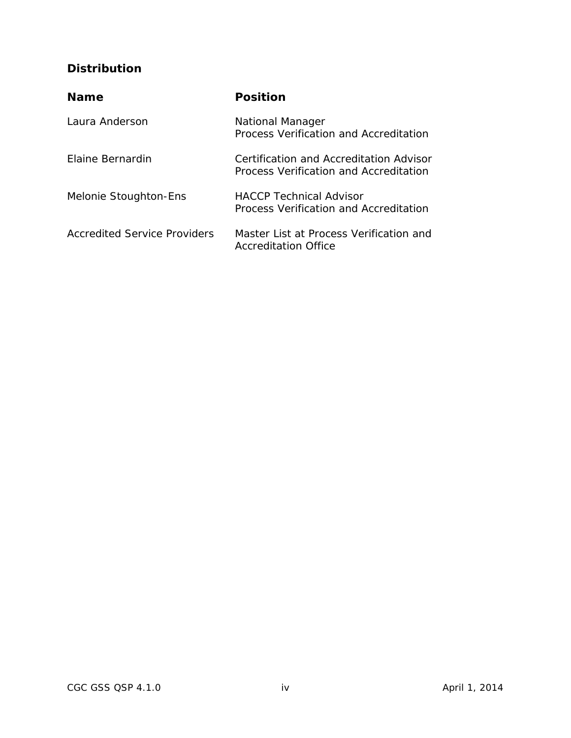# <span id="page-3-0"></span>**Distribution**

| <b>Name</b>                  | <b>Position</b>                                                                   |
|------------------------------|-----------------------------------------------------------------------------------|
| Laura Anderson               | <b>National Manager</b><br>Process Verification and Accreditation                 |
| Flaine Bernardin             | Certification and Accreditation Advisor<br>Process Verification and Accreditation |
| Melonie Stoughton-Ens        | <b>HACCP Technical Advisor</b><br>Process Verification and Accreditation          |
| Accredited Service Providers | Master List at Process Verification and<br>Accreditation Office                   |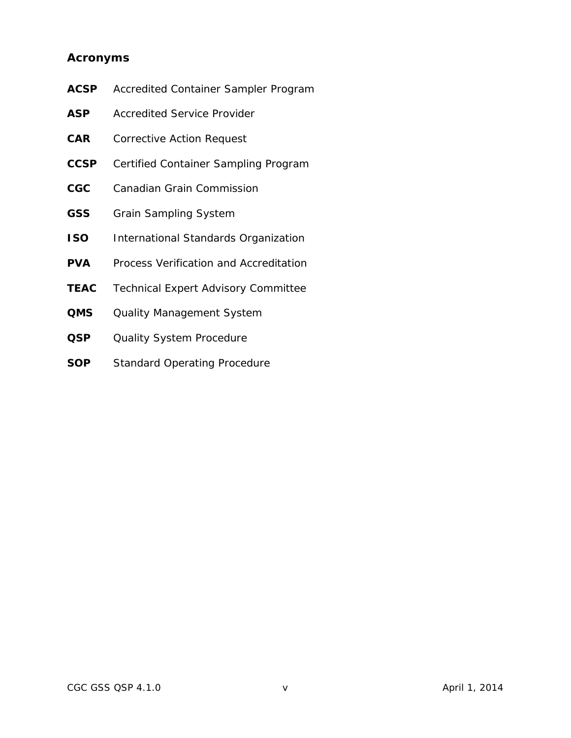# **Acronyms**

| ACSP           | Accredited Container Sampler Program       |
|----------------|--------------------------------------------|
| ASP            | <b>Accredited Service Provider</b>         |
| $\mathsf{CAR}$ | <b>Corrective Action Request</b>           |
| CCSP           | Certified Container Sampling Program       |
| $_{\rm CGC}$   | <b>Canadian Grain Commission</b>           |
| <b>GSS</b>     | <b>Grain Sampling System</b>               |
| <b>ISO</b>     | International Standards Organization       |
| PVA            | Process Verification and Accreditation     |
| <b>TEAC</b>    | <b>Technical Expert Advisory Committee</b> |
| QMS            | <b>Quality Management System</b>           |
| QSP            | <b>Quality System Procedure</b>            |
| SOP            | <b>Standard Operating Procedure</b>        |
|                |                                            |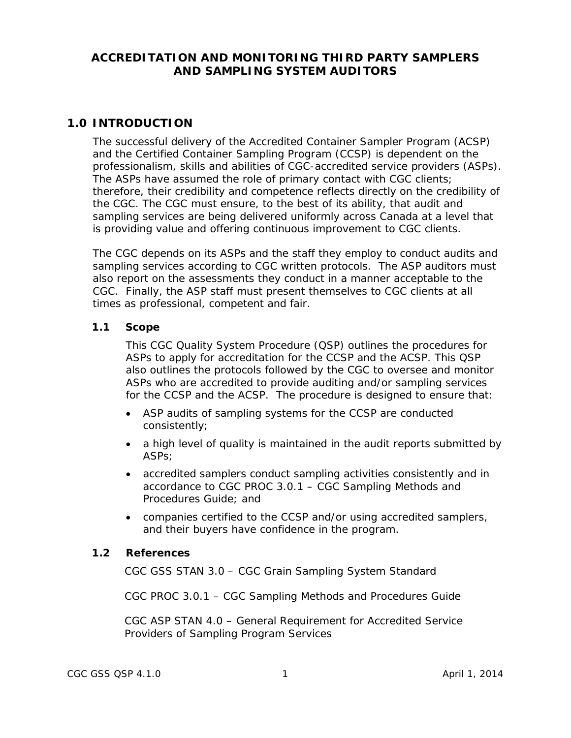# **ACCREDITATION AND MONITORING THIRD PARTY SAMPLERS AND SAMPLING SYSTEM AUDITORS**

# <span id="page-5-0"></span>**1.0 INTRODUCTION**

The successful delivery of the Accredited Container Sampler Program (ACSP) and the Certified Container Sampling Program (CCSP) is dependent on the professionalism, skills and abilities of CGC-accredited service providers (ASPs). The ASPs have assumed the role of primary contact with CGC clients; therefore, their credibility and competence reflects directly on the credibility of the CGC. The CGC must ensure, to the best of its ability, that audit and sampling services are being delivered uniformly across Canada at a level that is providing value and offering continuous improvement to CGC clients.

The CGC depends on its ASPs and the staff they employ to conduct audits and sampling services according to CGC written protocols. The ASP auditors must also report on the assessments they conduct in a manner acceptable to the CGC. Finally, the ASP staff must present themselves to CGC clients at all times as professional, competent and fair.

#### <span id="page-5-1"></span>**1.1 Scope**

This CGC Quality System Procedure (QSP) outlines the procedures for ASPs to apply for accreditation for the CCSP and the ACSP. This QSP also outlines the protocols followed by the CGC to oversee and monitor ASPs who are accredited to provide auditing and/or sampling services for the CCSP and the ACSP. The procedure is designed to ensure that:

- ASP audits of sampling systems for the CCSP are conducted consistently;
- a high level of quality is maintained in the audit reports submitted by ASPs;
- accredited samplers conduct sampling activities consistently and in accordance to CGC PROC 3.0.1 – *CGC Sampling Methods and Procedures Guide;* and
- companies certified to the CCSP and/or using accredited samplers, and their buyers have confidence in the program.

#### <span id="page-5-2"></span>**1.2 References**

CGC GSS STAN 3.0 – CGC Grain Sampling System Standard

CGC PROC 3.0.1 – CGC Sampling Methods and Procedures Guide

CGC ASP STAN 4.0 – General Requirement for Accredited Service Providers of Sampling Program Services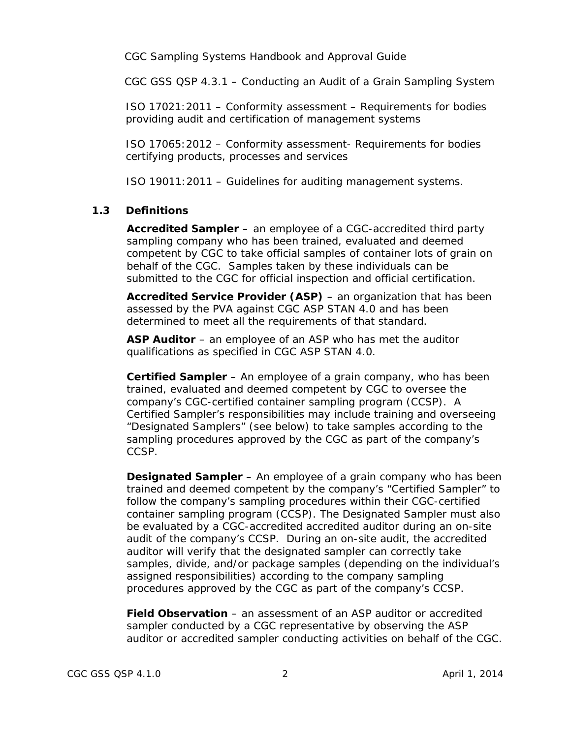CGC Sampling Systems Handbook and Approval Guide

CGC GSS QSP 4.3.1 – Conducting an Audit of a Grain Sampling System

ISO 17021:2011 – Conformity assessment – Requirements for bodies providing audit and certification of management systems

ISO 17065:2012 – Conformity assessment- Requirements for bodies certifying products, processes and services

ISO 19011:2011 – Guidelines for auditing management systems.

#### <span id="page-6-0"></span>**1.3 Definitions**

**Accredited Sampler –** an employee of a CGC-accredited third party sampling company who has been trained, evaluated and deemed competent by CGC to take official samples of container lots of grain on behalf of the CGC. Samples taken by these individuals can be submitted to the CGC for official inspection and official certification.

**Accredited Service Provider (ASP)** – an organization that has been assessed by the PVA against CGC ASP STAN 4.0 and has been determined to meet all the requirements of that standard.

**ASP Auditor** – an employee of an ASP who has met the auditor qualifications as specified in CGC ASP STAN 4.0.

**Certified Sampler** – An employee of a grain company, who has been trained, evaluated and deemed competent by CGC to oversee the company's CGC-certified container sampling program (CCSP). A Certified Sampler's responsibilities may include training and overseeing "Designated Samplers" (see below) to take samples according to the sampling procedures approved by the CGC as part of the company's CCSP.

**Designated Sampler** – An employee of a grain company who has been trained and deemed competent by the company's "Certified Sampler" to follow the company's sampling procedures within their CGC-certified container sampling program (CCSP). The Designated Sampler must also be evaluated by a CGC-accredited accredited auditor during an on-site audit of the company's CCSP. During an on-site audit, the accredited auditor will verify that the designated sampler can correctly take samples, divide, and/or package samples (depending on the individual's assigned responsibilities) according to the company sampling procedures approved by the CGC as part of the company's CCSP.

**Field Observation** – an assessment of an ASP auditor or accredited sampler conducted by a CGC representative by observing the ASP auditor or accredited sampler conducting activities on behalf of the CGC.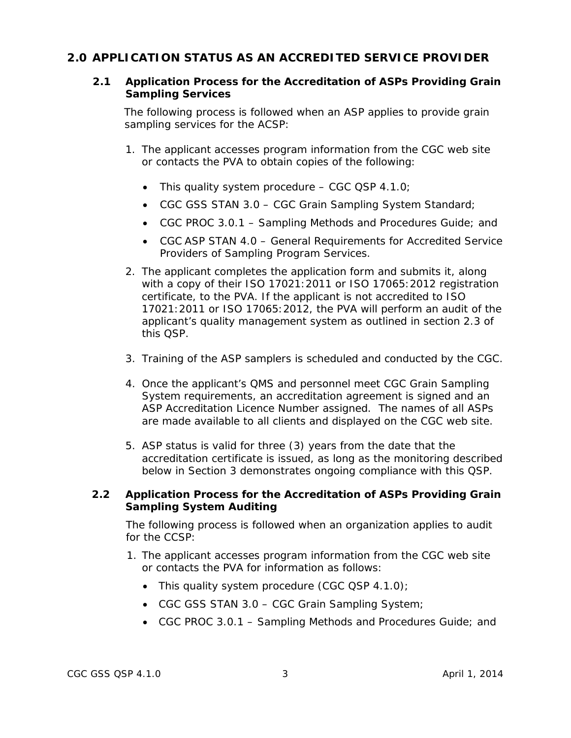# <span id="page-7-1"></span><span id="page-7-0"></span>**2.0 APPLICATION STATUS AS AN ACCREDITED SERVICE PROVIDER**

## **2.1 Application Process for the Accreditation of ASPs Providing Grain Sampling Services**

The following process is followed when an ASP applies to provide grain sampling services for the ACSP:

- 1. The applicant accesses program information from the CGC web site or contacts the PVA to obtain copies of the following:
	- This quality system procedure CGC QSP 4.1.0;
	- CGC GSS STAN 3.0 CGC Grain Sampling System Standard;
	- CGC PROC 3.0.1 Sampling Methods and Procedures Guide; and
	- CGC ASP STAN 4.0 General Requirements for Accredited Service Providers of Sampling Program Services.
- 2. The applicant completes the application form and submits it, along with a copy of their ISO 17021:2011 or ISO 17065:2012 registration certificate, to the PVA. If the applicant is not accredited to ISO 17021:2011 or ISO 17065:2012, the PVA will perform an audit of the applicant's quality management system as outlined in section 2.3 of this QSP.
- 3. Training of the ASP samplers is scheduled and conducted by the CGC.
- 4. Once the applicant's QMS and personnel meet CGC Grain Sampling System requirements, an accreditation agreement is signed and an ASP Accreditation Licence Number assigned. The names of all ASPs are made available to all clients and displayed on the CGC web site.
- 5. ASP status is valid for three (3) years from the date that the accreditation certificate is issued, as long as the monitoring described below in Section 3 demonstrates ongoing compliance with this QSP.

# <span id="page-7-2"></span>**2.2 Application Process for the Accreditation of ASPs Providing Grain Sampling System Auditing**

The following process is followed when an organization applies to audit for the CCSP:

- 1. The applicant accesses program information from the CGC web site or contacts the PVA for information as follows:
	- This quality system procedure (CGC QSP  $4.1.0$ );
	- CGC GSS STAN 3.0 CGC Grain Sampling System;
	- CGC PROC 3.0.1 Sampling Methods and Procedures Guide; and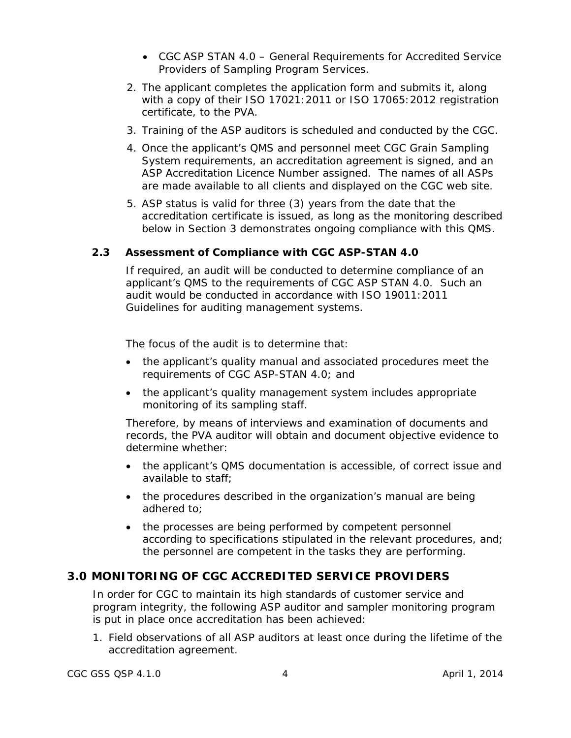- CGC ASP STAN 4.0 General Requirements for Accredited Service Providers of Sampling Program Services.
- 2. The applicant completes the application form and submits it, along with a copy of their ISO 17021:2011 or ISO 17065:2012 registration certificate, to the PVA.
- 3. Training of the ASP auditors is scheduled and conducted by the CGC.
- 4. Once the applicant's QMS and personnel meet CGC Grain Sampling System requirements, an accreditation agreement is signed, and an ASP Accreditation Licence Number assigned. The names of all ASPs are made available to all clients and displayed on the CGC web site.
- 5. ASP status is valid for three (3) years from the date that the accreditation certificate is issued, as long as the monitoring described below in Section 3 demonstrates ongoing compliance with this QMS.

# <span id="page-8-0"></span>**2.3 Assessment of Compliance with CGC ASP-STAN 4.0**

If required, an audit will be conducted to determine compliance of an applicant's QMS to the requirements of CGC ASP STAN 4.0. Such an audit would be conducted in accordance with ISO 19011:2011 *Guidelines for auditing management systems*.

The focus of the audit is to determine that:

- the applicant's quality manual and associated procedures meet the requirements of CGC ASP-STAN 4.0; and
- the applicant's quality management system includes appropriate monitoring of its sampling staff.

Therefore, by means of interviews and examination of documents and records, the PVA auditor will obtain and document objective evidence to determine whether:

- the applicant's QMS documentation is accessible, of correct issue and available to staff;
- the procedures described in the organization's manual are being adhered to;
- the processes are being performed by competent personnel according to specifications stipulated in the relevant procedures, and; the personnel are competent in the tasks they are performing.

# <span id="page-8-1"></span>**3.0 MONITORING OF CGC ACCREDITED SERVICE PROVIDERS**

In order for CGC to maintain its high standards of customer service and program integrity, the following ASP auditor and sampler monitoring program is put in place once accreditation has been achieved:

1. Field observations of all ASP auditors at least once during the lifetime of the accreditation agreement.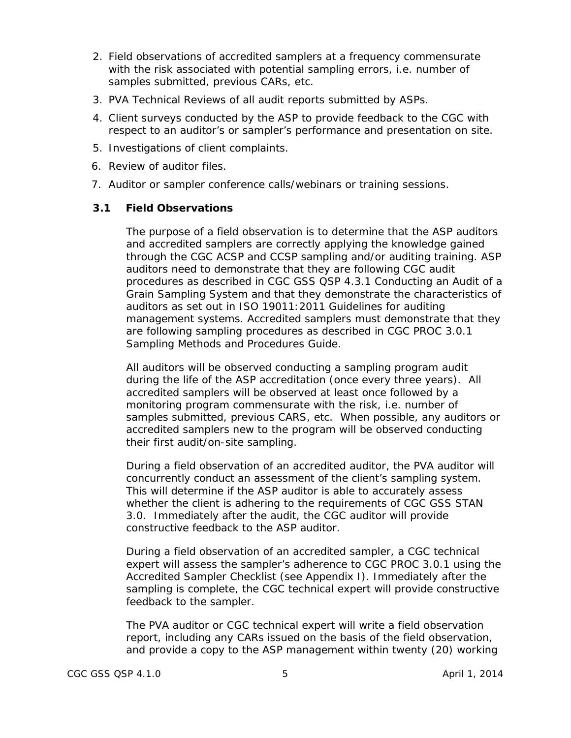- 2. Field observations of accredited samplers at a frequency commensurate with the risk associated with potential sampling errors, i.e. number of samples submitted, previous CARs, etc.
- 3. PVA Technical Reviews of all audit reports submitted by ASPs.
- 4. Client surveys conducted by the ASP to provide feedback to the CGC with respect to an auditor's or sampler's performance and presentation on site.
- 5. Investigations of client complaints.
- 6. Review of auditor files.
- 7. Auditor or sampler conference calls/webinars or training sessions.

#### <span id="page-9-0"></span>**3.1 Field Observations**

The purpose of a field observation is to determine that the ASP auditors and accredited samplers are correctly applying the knowledge gained through the CGC ACSP and CCSP sampling and/or auditing training. ASP auditors need to demonstrate that they are following CGC audit procedures as described in CGC GSS QSP 4.3.1 *Conducting an Audit of a Grain Sampling System* and that they demonstrate the characteristics of auditors as set out in ISO 19011:2011 *Guidelines for auditing management systems*. Accredited samplers must demonstrate that they are following sampling procedures as described in CGC PROC 3.0.1 *Sampling Methods and Procedures Guide.*

All auditors will be observed conducting a sampling program audit during the life of the ASP accreditation (once every three years). All accredited samplers will be observed at least once followed by a monitoring program commensurate with the risk, i.e. number of samples submitted, previous CARS, etc. When possible, any auditors or accredited samplers new to the program will be observed conducting their first audit/on-site sampling.

During a field observation of an accredited auditor, the PVA auditor will concurrently conduct an assessment of the client's sampling system. This will determine if the ASP auditor is able to accurately assess whether the client is adhering to the requirements of CGC GSS STAN 3.0. Immediately after the audit, the CGC auditor will provide constructive feedback to the ASP auditor.

During a field observation of an accredited sampler, a CGC technical expert will assess the sampler's adherence to CGC PROC 3.0.1 using the Accredited Sampler Checklist (see Appendix I). Immediately after the sampling is complete, the CGC technical expert will provide constructive feedback to the sampler.

The PVA auditor or CGC technical expert will write a field observation report, including any CARs issued on the basis of the field observation, and provide a copy to the ASP management within twenty (20) working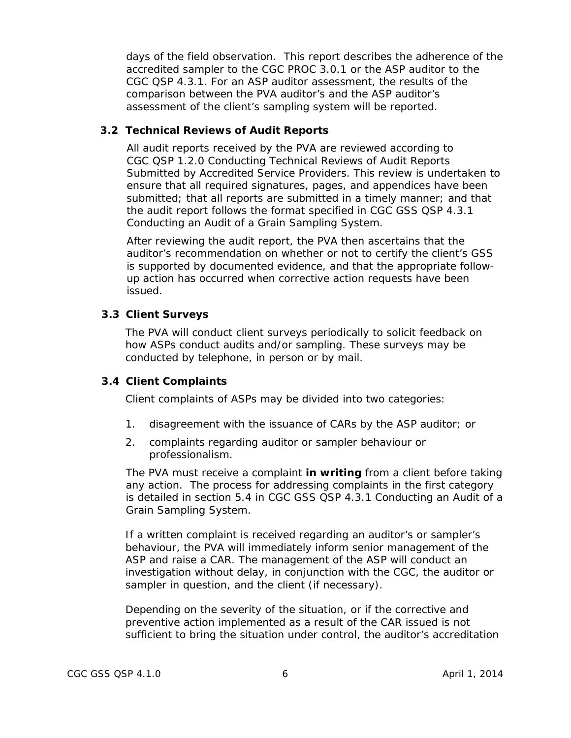days of the field observation. This report describes the adherence of the accredited sampler to the CGC PROC 3.0.1 or the ASP auditor to the CGC QSP 4.3.1. For an ASP auditor assessment, the results of the comparison between the PVA auditor's and the ASP auditor's assessment of the client's sampling system will be reported.

#### <span id="page-10-0"></span>**3.2 Technical Reviews of Audit Reports**

All audit reports received by the PVA are reviewed according to CGC QSP 1.2.0 *Conducting Technical Reviews of Audit Reports Submitted by Accredited Service Providers*. This review is undertaken to ensure that all required signatures, pages, and appendices have been submitted; that all reports are submitted in a timely manner; and that the audit report follows the format specified in CGC GSS QSP 4.3.1 *Conducting an Audit of a Grain Sampling System*.

After reviewing the audit report, the PVA then ascertains that the auditor's recommendation on whether or not to certify the client's GSS is supported by documented evidence, and that the appropriate followup action has occurred when corrective action requests have been issued.

#### <span id="page-10-1"></span>**3.3 Client Surveys**

The PVA will conduct client surveys periodically to solicit feedback on how ASPs conduct audits and/or sampling. These surveys may be conducted by telephone, in person or by mail.

#### <span id="page-10-2"></span>**3.4 Client Complaints**

Client complaints of ASPs may be divided into two categories:

- 1. disagreement with the issuance of CARs by the ASP auditor; or
- 2. complaints regarding auditor or sampler behaviour or professionalism.

The PVA must receive a complaint **in writing** from a client before taking any action. The process for addressing complaints in the first category is detailed in section 5.4 in CGC GSS QSP 4.3.1 *Conducting an Audit of a Grain Sampling System*.

If a written complaint is received regarding an auditor's or sampler's behaviour, the PVA will immediately inform senior management of the ASP and raise a CAR. The management of the ASP will conduct an investigation without delay, in conjunction with the CGC, the auditor or sampler in question, and the client (if necessary).

Depending on the severity of the situation, or if the corrective and preventive action implemented as a result of the CAR issued is not sufficient to bring the situation under control, the auditor's accreditation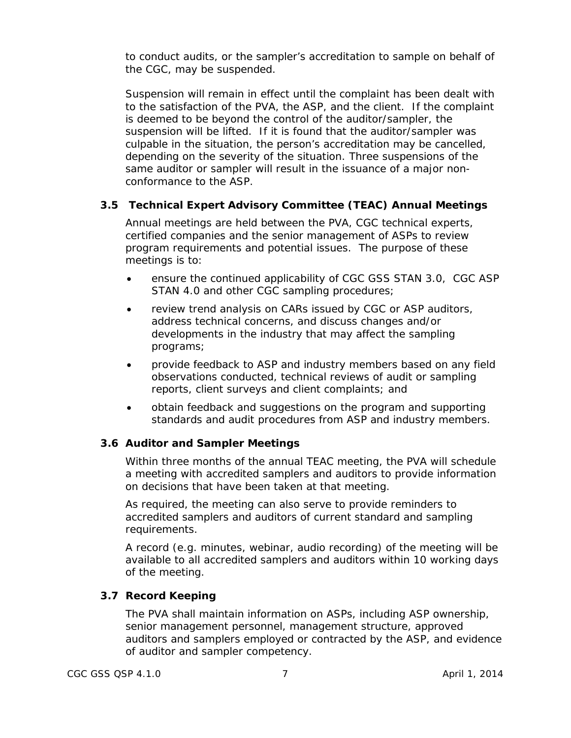to conduct audits, or the sampler's accreditation to sample on behalf of the CGC, may be suspended.

Suspension will remain in effect until the complaint has been dealt with to the satisfaction of the PVA, the ASP, and the client. If the complaint is deemed to be beyond the control of the auditor/sampler, the suspension will be lifted. If it is found that the auditor/sampler was culpable in the situation, the person's accreditation may be cancelled, depending on the severity of the situation. Three suspensions of the same auditor or sampler will result in the issuance of a major nonconformance to the ASP.

#### <span id="page-11-0"></span>**3.5 Technical Expert Advisory Committee (TEAC) Annual Meetings**

Annual meetings are held between the PVA, CGC technical experts, certified companies and the senior management of ASPs to review program requirements and potential issues. The purpose of these meetings is to:

- ensure the continued applicability of CGC GSS STAN 3.0, CGC ASP STAN 4.0 and other CGC sampling procedures;
- review trend analysis on CARs issued by CGC or ASP auditors, address technical concerns, and discuss changes and/or developments in the industry that may affect the sampling programs;
- provide feedback to ASP and industry members based on any field observations conducted, technical reviews of audit or sampling reports, client surveys and client complaints; and
- obtain feedback and suggestions on the program and supporting standards and audit procedures from ASP and industry members.

#### <span id="page-11-1"></span>**3.6 Auditor and Sampler Meetings**

Within three months of the annual TEAC meeting, the PVA will schedule a meeting with accredited samplers and auditors to provide information on decisions that have been taken at that meeting.

As required, the meeting can also serve to provide reminders to accredited samplers and auditors of current standard and sampling requirements.

A record (e.g. minutes, webinar, audio recording) of the meeting will be available to all accredited samplers and auditors within 10 working days of the meeting.

#### <span id="page-11-2"></span>**3.7 Record Keeping**

The PVA shall maintain information on ASPs, including ASP ownership, senior management personnel, management structure, approved auditors and samplers employed or contracted by the ASP, and evidence of auditor and sampler competency.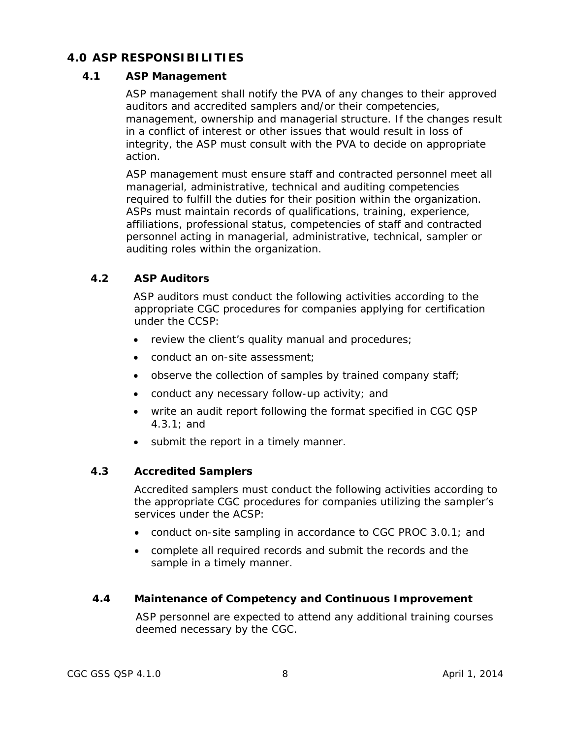# <span id="page-12-0"></span>**4.0 ASP RESPONSIBILITIES**

#### **4.1 ASP Management**

ASP management shall notify the PVA of any changes to their approved auditors and accredited samplers and/or their competencies, management, ownership and managerial structure. If the changes result in a conflict of interest or other issues that would result in loss of integrity, the ASP must consult with the PVA to decide on appropriate action.

ASP management must ensure staff and contracted personnel meet all managerial, administrative, technical and auditing competencies required to fulfill the duties for their position within the organization. ASPs must maintain records of qualifications, training, experience, affiliations, professional status, competencies of staff and contracted personnel acting in managerial, administrative, technical, sampler or auditing roles within the organization.

# **4.2 ASP Auditors**

ASP auditors must conduct the following activities according to the appropriate CGC procedures for companies applying for certification under the CCSP:

- review the client's quality manual and procedures;
- conduct an on-site assessment;
- observe the collection of samples by trained company staff;
- conduct any necessary follow-up activity; and
- write an audit report following the format specified in CGC QSP 4.3.1; and
- submit the report in a timely manner.

# **4.3 Accredited Samplers**

Accredited samplers must conduct the following activities according to the appropriate CGC procedures for companies utilizing the sampler's services under the ACSP:

- conduct on-site sampling in accordance to CGC PROC 3.0.1; and
- complete all required records and submit the records and the sample in a timely manner.

#### **4.4 Maintenance of Competency and Continuous Improvement**

ASP personnel are expected to attend any additional training courses deemed necessary by the CGC.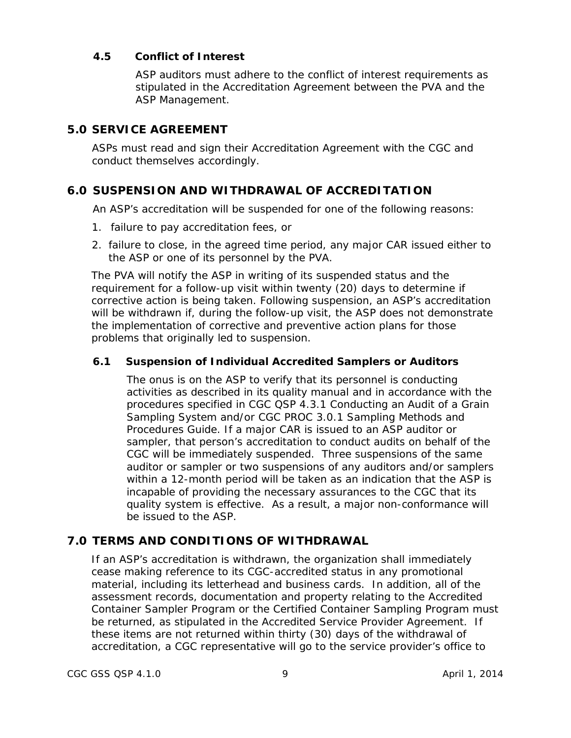## **4.5 Conflict of Interest**

ASP auditors must adhere to the conflict of interest requirements as stipulated in the Accreditation Agreement between the PVA and the ASP Management.

# <span id="page-13-0"></span>**5.0 SERVICE AGREEMENT**

ASPs must read and sign their Accreditation Agreement with the CGC and conduct themselves accordingly.

# <span id="page-13-1"></span>**6.0 SUSPENSION AND WITHDRAWAL OF ACCREDITATION**

An ASP's accreditation will be suspended for one of the following reasons:

- 1. failure to pay accreditation fees, or
- 2. failure to close, in the agreed time period, any major CAR issued either to the ASP or one of its personnel by the PVA.

The PVA will notify the ASP in writing of its suspended status and the requirement for a follow-up visit within twenty (20) days to determine if corrective action is being taken. Following suspension, an ASP's accreditation will be withdrawn if, during the follow-up visit, the ASP does not demonstrate the implementation of corrective and preventive action plans for those problems that originally led to suspension.

# <span id="page-13-2"></span>**6.1 Suspension of Individual Accredited Samplers or Auditors**

The onus is on the ASP to verify that its personnel is conducting activities as described in its quality manual and in accordance with the procedures specified in CGC QSP 4.3.1 *Conducting an Audit of a Grain Sampling System* and/or CGC PROC 3.0.1 *Sampling Methods and Procedures Guide*. If a major CAR is issued to an ASP auditor or sampler, that person's accreditation to conduct audits on behalf of the CGC will be immediately suspended. Three suspensions of the same auditor or sampler or two suspensions of any auditors and/or samplers within a 12-month period will be taken as an indication that the ASP is incapable of providing the necessary assurances to the CGC that its quality system is effective. As a result, a major non-conformance will be issued to the ASP.

# <span id="page-13-3"></span>**7.0 TERMS AND CONDITIONS OF WITHDRAWAL**

If an ASP's accreditation is withdrawn, the organization shall immediately cease making reference to its CGC-accredited status in any promotional material, including its letterhead and business cards. In addition, all of the assessment records, documentation and property relating to the Accredited Container Sampler Program or the Certified Container Sampling Program must be returned, as stipulated in the Accredited Service Provider Agreement. If these items are not returned within thirty (30) days of the withdrawal of accreditation, a CGC representative will go to the service provider's office to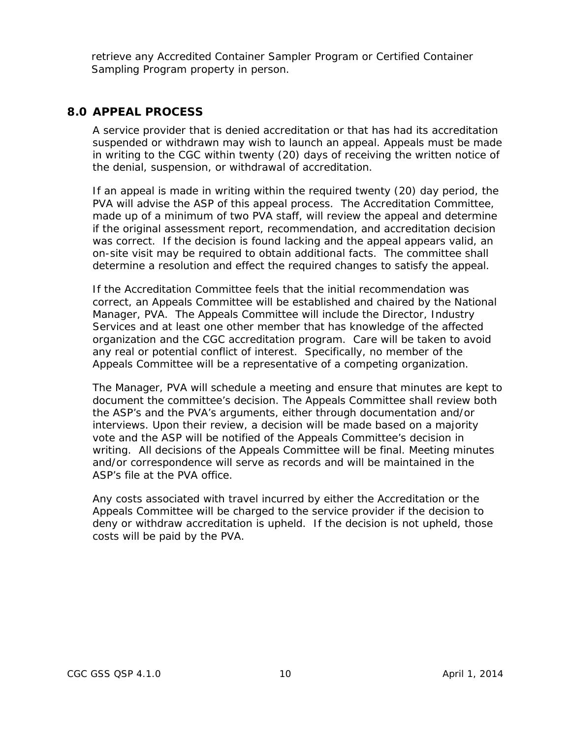retrieve any Accredited Container Sampler Program or Certified Container Sampling Program property in person.

#### <span id="page-14-0"></span>**8.0 APPEAL PROCESS**

A service provider that is denied accreditation or that has had its accreditation suspended or withdrawn may wish to launch an appeal. Appeals must be made in writing to the CGC within twenty (20) days of receiving the written notice of the denial, suspension, or withdrawal of accreditation.

If an appeal is made in writing within the required twenty (20) day period, the PVA will advise the ASP of this appeal process. The Accreditation Committee, made up of a minimum of two PVA staff, will review the appeal and determine if the original assessment report, recommendation, and accreditation decision was correct. If the decision is found lacking and the appeal appears valid, an on-site visit may be required to obtain additional facts. The committee shall determine a resolution and effect the required changes to satisfy the appeal.

If the Accreditation Committee feels that the initial recommendation was correct, an Appeals Committee will be established and chaired by the National Manager, PVA. The Appeals Committee will include the Director, Industry Services and at least one other member that has knowledge of the affected organization and the CGC accreditation program. Care will be taken to avoid any real or potential conflict of interest. Specifically, no member of the Appeals Committee will be a representative of a competing organization.

The Manager, PVA will schedule a meeting and ensure that minutes are kept to document the committee's decision. The Appeals Committee shall review both the ASP's and the PVA's arguments, either through documentation and/or interviews. Upon their review, a decision will be made based on a majority vote and the ASP will be notified of the Appeals Committee's decision in writing. All decisions of the Appeals Committee will be final. Meeting minutes and/or correspondence will serve as records and will be maintained in the ASP's file at the PVA office.

<span id="page-14-1"></span>Any costs associated with travel incurred by either the Accreditation or the Appeals Committee will be charged to the service provider if the decision to deny or withdraw accreditation is upheld. If the decision is not upheld, those costs will be paid by the PVA.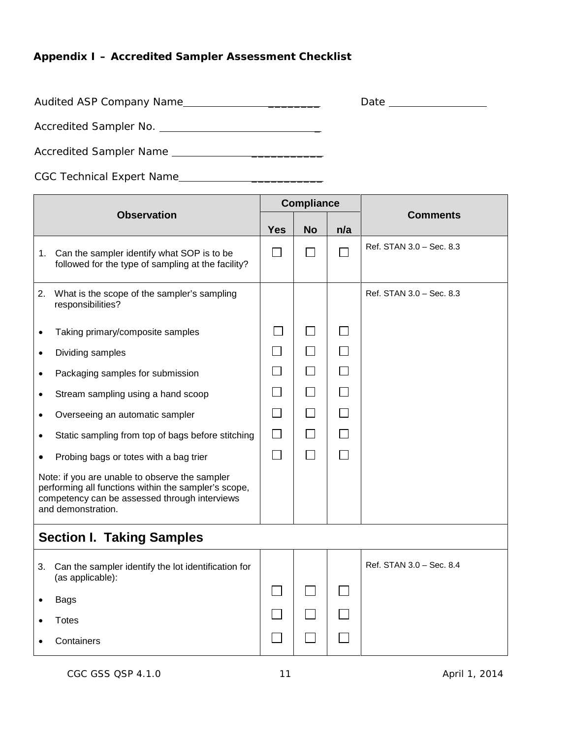# **Appendix I – Accredited Sampler Assessment Checklist**

Audited ASP Company Name

| ്ധു<br>. .<br>ιc<br>$\sim$<br>$-$ |  |
|-----------------------------------|--|
|                                   |  |

Accredited Sampler No. \_

Accredited Sampler Name \_\_\_\_\_\_\_\_\_\_\_

CGC Technical Expert Name \_\_\_\_\_\_\_\_\_\_\_

| <b>Observation</b>                                                                                                                                                            |                                                                                                     |            | <b>Compliance</b>        |              |                          |
|-------------------------------------------------------------------------------------------------------------------------------------------------------------------------------|-----------------------------------------------------------------------------------------------------|------------|--------------------------|--------------|--------------------------|
|                                                                                                                                                                               |                                                                                                     | <b>Yes</b> | <b>No</b>                | n/a          | <b>Comments</b>          |
|                                                                                                                                                                               | 1. Can the sampler identify what SOP is to be<br>followed for the type of sampling at the facility? |            | $\Box$                   | $\Box$       | Ref. STAN 3.0 - Sec. 8.3 |
| 2.                                                                                                                                                                            | What is the scope of the sampler's sampling<br>responsibilities?                                    |            |                          |              | Ref. STAN 3.0 - Sec. 8.3 |
|                                                                                                                                                                               | Taking primary/composite samples                                                                    |            | $\overline{\phantom{a}}$ | $\mathbf{L}$ |                          |
| $\bullet$                                                                                                                                                                     | Dividing samples                                                                                    | $\sim$     | $\Box$                   | $\Box$       |                          |
| $\bullet$                                                                                                                                                                     | Packaging samples for submission                                                                    | π          | $\Box$                   | $\Box$       |                          |
|                                                                                                                                                                               | Stream sampling using a hand scoop                                                                  |            | $\Box$                   | $\Box$       |                          |
|                                                                                                                                                                               | Overseeing an automatic sampler                                                                     | $\Box$     | $\Box$                   | $\Box$       |                          |
|                                                                                                                                                                               | Static sampling from top of bags before stitching                                                   | $\Box$     | $\Box$                   | $\Box$       |                          |
| $\bullet$                                                                                                                                                                     | Probing bags or totes with a bag trier                                                              | $\Box$     | $\Box$                   | $\Box$       |                          |
| Note: if you are unable to observe the sampler<br>performing all functions within the sampler's scope,<br>competency can be assessed through interviews<br>and demonstration. |                                                                                                     |            |                          |              |                          |
| <b>Section I. Taking Samples</b>                                                                                                                                              |                                                                                                     |            |                          |              |                          |
| 3.                                                                                                                                                                            | Can the sampler identify the lot identification for<br>(as applicable):                             |            |                          |              | Ref. STAN 3.0 - Sec. 8.4 |
|                                                                                                                                                                               | <b>Bags</b>                                                                                         |            |                          |              |                          |
|                                                                                                                                                                               | <b>Totes</b>                                                                                        |            |                          |              |                          |
|                                                                                                                                                                               | Containers                                                                                          |            |                          |              |                          |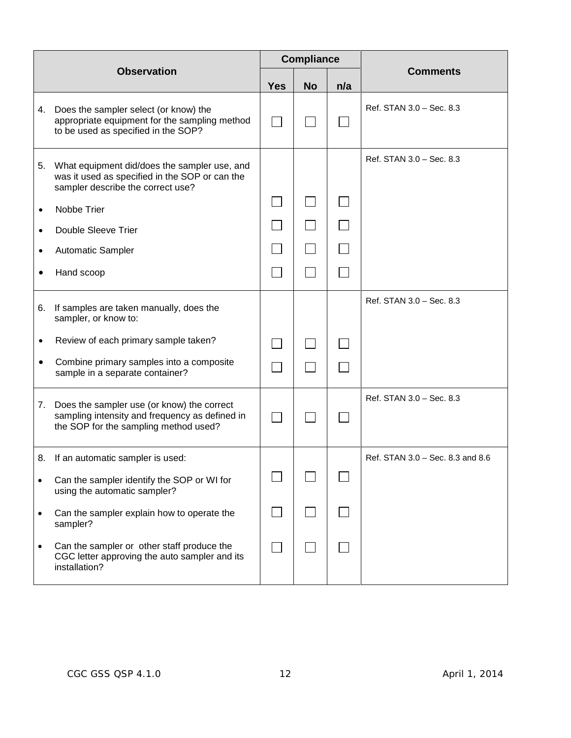| <b>Observation</b> |                                                                                                                                       |            | <b>Compliance</b> |     |                                  |
|--------------------|---------------------------------------------------------------------------------------------------------------------------------------|------------|-------------------|-----|----------------------------------|
|                    |                                                                                                                                       | <b>Yes</b> | <b>No</b>         | n/a | <b>Comments</b>                  |
| 4.                 | Does the sampler select (or know) the<br>appropriate equipment for the sampling method<br>to be used as specified in the SOP?         |            |                   |     | Ref. STAN 3.0 - Sec. 8.3         |
| 5.                 | What equipment did/does the sampler use, and<br>was it used as specified in the SOP or can the<br>sampler describe the correct use?   |            |                   |     | Ref. STAN 3.0 - Sec. 8.3         |
| $\bullet$          | Nobbe Trier                                                                                                                           |            |                   |     |                                  |
| $\bullet$          | Double Sleeve Trier                                                                                                                   |            |                   |     |                                  |
| ٠                  | Automatic Sampler                                                                                                                     |            |                   |     |                                  |
|                    | Hand scoop                                                                                                                            |            |                   |     |                                  |
| 6.                 | If samples are taken manually, does the<br>sampler, or know to:                                                                       |            |                   |     | Ref. STAN 3.0 - Sec. 8.3         |
| $\bullet$          | Review of each primary sample taken?                                                                                                  |            |                   |     |                                  |
| $\bullet$          | Combine primary samples into a composite<br>sample in a separate container?                                                           |            |                   |     |                                  |
| 7.                 | Does the sampler use (or know) the correct<br>sampling intensity and frequency as defined in<br>the SOP for the sampling method used? |            |                   |     | Ref. STAN 3.0 - Sec. 8.3         |
|                    | 8. If an automatic sampler is used:                                                                                                   |            |                   |     | Ref. STAN 3.0 - Sec. 8.3 and 8.6 |
| $\bullet$          | Can the sampler identify the SOP or WI for<br>using the automatic sampler?                                                            |            |                   |     |                                  |
| $\bullet$          | Can the sampler explain how to operate the<br>sampler?                                                                                |            |                   |     |                                  |
| $\bullet$          | Can the sampler or other staff produce the<br>CGC letter approving the auto sampler and its<br>installation?                          |            |                   |     |                                  |